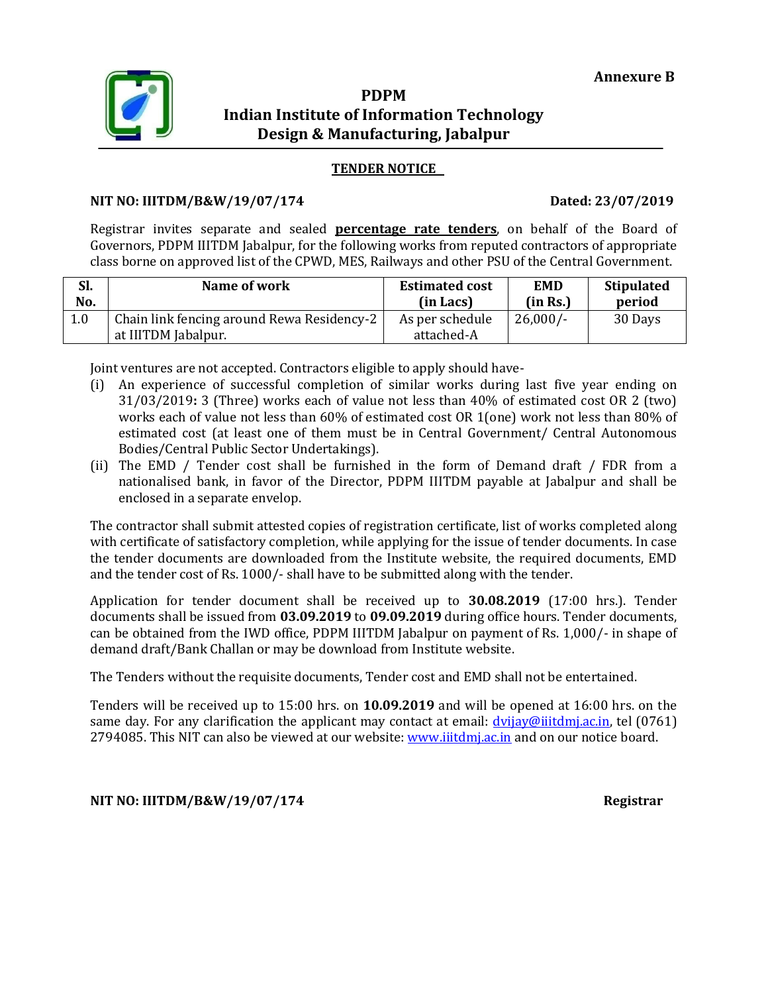

## **PDPM Indian Institute of Information Technology Design & Manufacturing, Jabalpur**

### **TENDER NOTICE**

### **NIT NO: IIITDM/B&W/19/07/174 Dated: 23/07/2019**

Registrar invites separate and sealed **percentage rate tenders**, on behalf of the Board of Governors, PDPM IIITDM Jabalpur, for the following works from reputed contractors of appropriate class borne on approved list of the CPWD, MES, Railways and other PSU of the Central Government.

| Sl. | Name of work                                                      | <b>Estimated cost</b>         | <b>EMD</b> | <b>Stipulated</b> |
|-----|-------------------------------------------------------------------|-------------------------------|------------|-------------------|
| No. |                                                                   | (in Lacs)                     | (in Rs.)   | period            |
| 1.0 | Chain link fencing around Rewa Residency-2<br>at IIITDM Jabalpur. | As per schedule<br>attached-A | $26,000/-$ | 30 Days           |

Joint ventures are not accepted. Contractors eligible to apply should have-

- (i) An experience of successful completion of similar works during last five year ending on 31/03/2019**:** 3 (Three) works each of value not less than 40% of estimated cost OR 2 (two) works each of value not less than 60% of estimated cost OR 1(one) work not less than 80% of estimated cost (at least one of them must be in Central Government/ Central Autonomous Bodies/Central Public Sector Undertakings).
- (ii) The EMD / Tender cost shall be furnished in the form of Demand draft / FDR from a nationalised bank, in favor of the Director, PDPM IIITDM payable at Jabalpur and shall be enclosed in a separate envelop.

The contractor shall submit attested copies of registration certificate, list of works completed along with certificate of satisfactory completion, while applying for the issue of tender documents. In case the tender documents are downloaded from the Institute website, the required documents, EMD and the tender cost of Rs. 1000/- shall have to be submitted along with the tender.

Application for tender document shall be received up to **30.08.2019** (17:00 hrs.). Tender documents shall be issued from **03.09.2019** to **09.09.2019** during office hours. Tender documents, can be obtained from the IWD office, PDPM IIITDM Jabalpur on payment of Rs. 1,000/- in shape of demand draft/Bank Challan or may be download from Institute website.

The Tenders without the requisite documents, Tender cost and EMD shall not be entertained.

Tenders will be received up to 15:00 hrs. on **10.09.2019** and will be opened at 16:00 hrs. on the same day. For any clarification the applicant may contact at email:  $\frac{dv}{div}$  [dvijay@iiitdmj.ac.in,](mailto:dvijay@iiitdmj.ac.in) tel (0761) 2794085. This NIT can also be viewed at our website: [www.iiitdmj.ac.in](http://www.iiitdmj.ac.in/) and on our notice board.

### **NIT NO: IIITDM/B&W/19/07/174 Registrar**